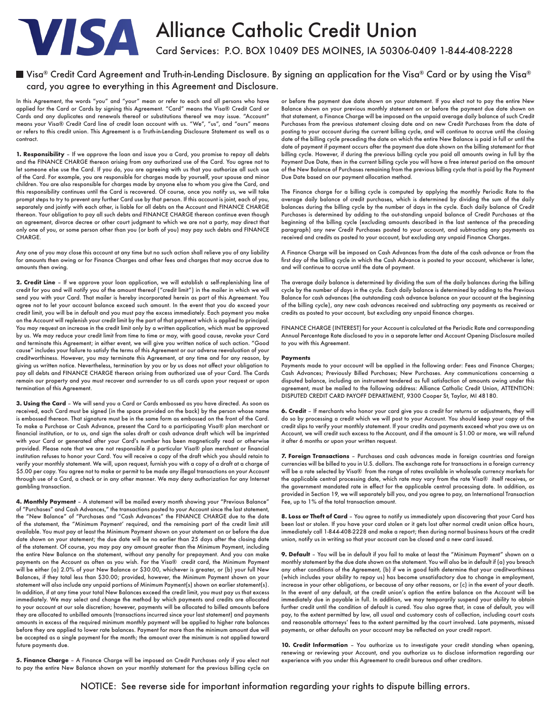

# Alliance Catholic Credit Union

Card Services: P.O. BOX 10409 DES MOINES, IA 50306-0409 1-844-408-2228

# $\blacksquare$  Visa® Credit Card Agreement and Truth-in-Lending Disclosure. By signing an application for the Visa® Card or by using the Visa® card, you agree to everything in this Agreement and Disclosure.

In this Agreement, the words "you" and "your" mean or refer to each and all persons who have applied for the Card or Cards by signing this Agreement. "Card" means the Visa® Credit Card or Cards and any duplicates and renewals thereof or substitutions thereof we may issue. "Account" means your Visa® Credit Card line of credit loan account with us. "We", "us", and "ours" means or refers to this credit union. This Agreement is a Truth-in-Lending Disclosure Statement as well as a contract.

**1. Responsibility** – If we approve the loan and issue you a Card, you promise to repay all debts and the FINANCE CHARGE thereon arising from any authorized use of the Card. You agree not to let someone else use the Card. If you do, you are agreeing with us that you authorize all such use of the Card. For example, you are responsible for charges made by yourself, your spouse and minor children. You are also responsible for charges made by anyone else to whom you give the Card, and this responsibility continues until the Card is recovered. Of course, once you notify us, we will take prompt steps to try to prevent any further Card use by that person. If this account is joint, each of you, separately and jointly with each other, is liable for all debts on the Account and FINANCE CHARGE thereon. Your obligation to pay all such debts and FINANCE CHARGE thereon continue even though an agreement, divorce decree or other court judgment to which we are not a party, may direct that only one of you, or some person other than you (or both of you) may pay such debts and FINANCE CHARGE.

Any one of you may close this account at any time but no such action shall relieve you of any liability for amounts then owing or for Finance Charges and other fees and charges that may accrue due to amounts then owing.

**2. Credit Line** – If we approve your loan application, we will establish a self-replenishing line of credit for you and will notify you of the amount thereof ("credit limit") in the mailer in which we will send you with your Card. That mailer is hereby incorporated herein as part of this Agreement. You agree not to let your account balance exceed such amount. In the event that you do exceed your credit limit, you will be in default and you must pay the excess immediately. Each payment you make on the Account will replenish your credit limit by the part of that payment which is applied to principal. You may request an increase in the credit limit only by a written application, which must be approved by us. We may reduce your credit limit from time to time or may, with good cause, revoke your Card and terminate this Agreement; in either event, we will give you written notice of such action. "Good cause" includes your failure to satisfy the terms of this Agreement or our adverse reevaluation of your creditworthiness. However, you may terminate this Agreement, at any time and for any reason, by giving us written notice. Nevertheless, termination by you or by us does not affect your obligation to pay all debts and FINANCE CHARGE thereon arising from authorized use of your Card. The Cards remain our property and you must recover and surrender to us all cards upon your request or upon termination of this Agreement.

**3. Using the Card** – We will send you a Card or Cards embossed as you have directed. As soon as received, each Card must be signed (in the space provided on the back) by the person whose name is embossed thereon. That signature must be in the same form as embossed on the front of the Card. To make a Purchase or Cash Advance, present the Card to a participating Visa® plan merchant or financial institution, or to us, and sign the sales draft or cash advance draft which will be imprinted with your Card or generated after your Card's number has been magnetically read or otherwise provided. Please note that we are not responsible if a particular Visa® plan merchant or financial institution refuses to honor your Card. You will receive a copy of the draft which you should retain to verify your monthly statement. We will, upon request, furnish you with a copy of a draft at a charge of \$5.00 per copy. You agree not to make or permit to be made any illegal transactions on your Account through use of a Card, a check or in any other manner. We may deny authorization for any Internet gambling transaction.

**4. Monthly Payment** – A statement will be mailed every month showing your "Previous Balance" of "Purchases" and Cash Advances," the transactions posted to your Account since the last statement, the "New Balance" of "Purchases and "Cash Advances" the FINANCE CHARGE due to the date of the statement, the "Minimum Payment' required, and the remaining part of the credit limit still available. You must pay at least the Minimum Payment shown on your statement on or before the due date shown on your statement; the due date will be no earlier than 25 days after the closing date of the statement. Of course, you may pay any amount greater than the Minimum Payment, including the entire New Balance on the statement, without any penalty for prepayment. And you can make payments on the Account as often as you wish. For the Visa® credit card, the Minimum Payment will be either (a) 2.0% of your New Balance or \$30.00, whichever is greater, or (b) your full New Balances, if they total less than \$30.00; provided, however, the Minimum Payment shown on your statement will also include any unpaid portions of Minimum Payment(s) shown on earlier statement(s). In addition, if at any time your total New Balances exceed the credit limit, you must pay us that excess immediately. We may select and change the method by which payments and credits are allocated to your account at our sole discretion; however, payments will be allocated to billed amounts before they are allocated to unbilled amounts (transactions incurred since your last statement) and payments amounts in excess of the required minimum monthly payment will be applied to higher rate balances before they are applied to lower rate balances. Payment for more than the minimum amount due will be accepted as a single payment for the month; the amount over the minimum is not applied toward future payments due.

**5. Finance Charge** – A Finance Charge will be imposed on Credit Purchases only if you elect not to pay the entire New Balance shown on your monthly statement for the previous billing cycle on or before the payment due date shown on your statement. If you elect not to pay the entire New Balance shown on your previous monthly statement on or before the payment due date shown on that statement, a Finance Charge will be imposed on the unpaid average daily balance of such Credit Purchases from the previous statement closing date and on new Credit Purchases from the date of posting to your account during the current billing cycle, and will continue to accrue until the closing date of the billing cycle preceding the date on which the entire New Balance is paid in full or until the date of payment if payment occurs after the payment due date shown on the billing statement for that billing cycle. However, if during the previous billing cycle you paid all amounts owing in full by the Payment Due Date, then in the current billing cycle you will have a free interest period on the amount of the New Balance of Purchases remaining from the previous billing cycle that is paid by the Payment Due Date based on our payment allocation method.

The Finance charge for a billing cycle is computed by applying the monthly Periodic Rate to the average daily balance of credit purchases, which is determined by dividing the sum of the daily balances during the billing cycle by the number of days in the cycle. Each daily balance of Credit Purchases is determined by adding to the out-standing unpaid balance of Credit Purchases at the beginning of the billing cycle (excluding amounts described in the last sentence of the preceding paragraph) any new Credit Purchases posted to your account, and subtracting any payments as received and credits as posted to your account, but excluding any unpaid Finance Charges.

A Finance Charge will be imposed on Cash Advances from the date of the cash advance or from the first day of the billing cycle in which the Cash Advance is posted to your account, whichever is later, and will continue to accrue until the date of payment.

The average daily balance is determined by dividing the sum of the daily balances during the billing cycle by the number of days in the cycle. Each daily balance is determined by adding to the Previous Balance for cash advances (the outstanding cash advance balance on your account at the beginning of the billing cycle), any new cash advances received and subtracting any payments as received or credits as posted to your account, but excluding any unpaid finance charges.

FINANCE CHARGE (INTEREST) for your Account is calculated at the Periodic Rate and corresponding Annual Percentage Rate disclosed to you in a separate letter and Account Opening Disclosure mailed to you with this Agreement.

#### **Payments**

Payments made to your account will be applied in the following order: Fees and Finance Charges; Cash Advances; Previously Billed Purchases; New Purchases. Any communications concerning a disputed balance, including an instrument tendered as full satisfaction of amounts owing under this agreement, must be mailed to the following address: Alliance Catholic Credit Union, ATTENTION: DISPUTED CREDIT CARD PAYOFF DEPARTMENT, 9300 Cooper St, Taylor, MI 48180.

**6. Credit** – If merchants who honor your card give you a credit for returns or adjustments, they will do so by processing a credit which we will post to your Account. You should keep your copy of the credit slips to verify your monthly statement. If your credits and payments exceed what you owe us on Account, we will credit such excess to the Account, and if the amount is \$1.00 or more, we will refund it after 6 months or upon your written request.

**7. Foreign Transactions** – Purchases and cash advances made in foreign countries and foreign currencies will be billed to you in U.S. dollars. The exchange rate for transactions in a foreign currency will be a rate selected by Visa® from the range of rates available in wholesale currency markets for the applicable central processing date, which rate may vary from the rate Visa® itself receives, or the government mandated rate in effect for the applicable central processing date. In addition, as provided in Section 19, we will separately bill you, and you agree to pay, an International Transaction Fee, up to 1% of the total transaction amount.

**8. Loss or Theft of Card** – You agree to notify us immediately upon discovering that your Card has been lost or stolen. If you have your card stolen or it gets lost after normal credit union office hours, immediately call 1-844-408-2228 and make a report; then during normal business hours at the credit union, notify us in writing so that your account can be closed and a new card issued.

**9. Default** – You will be in default if you fail to make at least the "Minimum Payment" shown on a monthly statement by the due date shown on the statement. You will also be in default if (a) you breach any other conditions of the Agreement, (b) if we in good faith determine that your creditworthiness (which includes your ability to repay us) has become unsatisfactory due to change in employment, increase in your other obligations, or because of any other reasons, or (c) in the event of your death. In the event of any default, at the credit union's option the entire balance on the Account will be immediately due in payable in full. In addition, we may temporarily suspend your ability to obtain further credit until the condition of default is cured. You also agree that, in case of default, you will pay, to the extent permitted by law, all usual and customary costs of collection, including court costs and reasonable attorneys' fees to the extent permitted by the court involved. Late payments, missed payments, or other defaults on your account may be reflected on your credit report.

**10. Credit Information** – You authorize us to investigate your credit standing when opening, renewing or reviewing your Account, and you authorize us to disclose information regarding our experience with you under this Agreement to credit bureaus and other creditors.